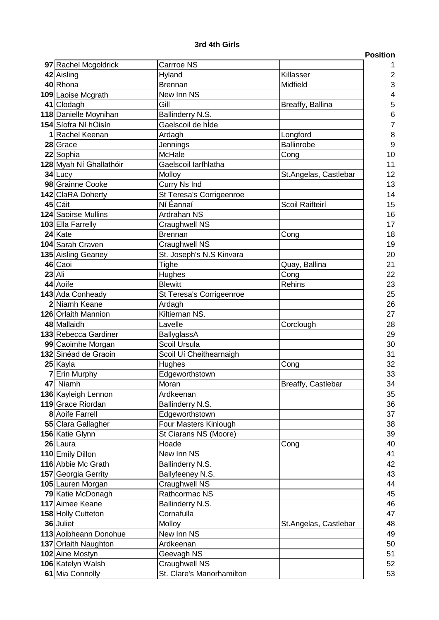## **3rd 4th Girls**

|                            |                             |                       | <b>Position</b> |
|----------------------------|-----------------------------|-----------------------|-----------------|
| 97 Rachel Mcgoldrick       | Carrroe NS                  |                       |                 |
| 42 Aisling                 | Hyland                      | Killasser             | 2               |
| 40 Rhona                   | <b>Brennan</b>              | Midfield              | 3               |
| 109 Laoise Mcgrath         | New Inn NS                  |                       | 4               |
| 41 Clodagh                 | Gill                        | Breaffy, Ballina      | 5               |
| 118 Danielle Moynihan      | Ballinderry N.S.            |                       | 6               |
| 154 Síofra Ní hOisín       | Gaelscoil de hÍde           |                       | 7               |
| 1 Rachel Keenan            | Ardagh                      | Longford              | 8               |
| 28 Grace                   | Jennings                    | <b>Ballinrobe</b>     | 9               |
| 22 Sophia                  | <b>McHale</b>               | Cong                  | 10              |
| 128 Myah Ní Ghallathóir    | Gaelscoil larfhlatha        |                       | 11              |
| 34 Lucy                    | Molloy                      | St.Angelas, Castlebar | 12              |
| 98 Grainne Cooke           | Curry Ns Ind                |                       | 13              |
| 142 ClaRA Doherty          | St Teresa's Corrigeenroe    |                       | 14              |
| 45 Cáit                    | Ní Éannaí                   | Scoil Raifteirí       | 15              |
| <b>124</b> Saoirse Mullins | Ardrahan NS                 |                       | 16              |
| 103 Ella Farrelly          | Craughwell NS               |                       | 17              |
| 24 Kate                    | <b>Brennan</b>              | Cong                  | 18              |
| 104 Sarah Craven           | Craughwell NS               |                       | 19              |
| 135 Aisling Geaney         | St. Joseph's N.S Kinvara    |                       | 20              |
| 46 Caoi                    | Tighe                       | Quay, Ballina         | 21              |
| $23$ Ali                   | Hughes                      | Cong                  | 22              |
| 44 Aoife                   | <b>Blewitt</b>              | Rehins                | 23              |
| 143 Ada Conheady           | St Teresa's Corrigeenroe    |                       | 25              |
| 2 Niamh Keane              | Ardagh                      |                       | 26              |
| 126 Orlaith Mannion        | Kiltiernan NS.              |                       | 27              |
| 48 Mallaidh                | Lavelle                     | Corclough             | 28              |
| 133 Rebecca Gardiner       | BallyglassA                 |                       | 29              |
| 99 Caoimhe Morgan          | Scoil Ursula                |                       | 30              |
| 132 Sinéad de Graoin       | Scoil Uí Cheithearnaigh     |                       | 31              |
| 25 Kayla                   | Hughes                      | Cong                  | 32              |
| 7 Erin Murphy              | Edgeworthstown              |                       | 33              |
| 47 Niamh                   | Moran                       | Breaffy, Castlebar    | 34              |
| 136 Kayleigh Lennon        | Ardkeenan                   |                       | 35              |
| 119 Grace Riordan          | Ballinderry N.S.            |                       | 36              |
| 8 Aoife Farrell            | Edgeworthstown              |                       | 37              |
| 55 Clara Gallagher         | Four Masters Kinlough       |                       | 38              |
| 156 Katie Glynn            | St Ciarans NS (Moore)       |                       | 39              |
| 26 Laura                   | Hoade                       | Cong                  | 40              |
| 110 Emily Dillon           | New Inn NS                  |                       | 41              |
| 116 Abbie Mc Grath         | Ballinderry N.S.            |                       | 42              |
| 157 Georgia Gerrity        | Ballyfeeney N.S.            |                       | 43              |
| 105 Lauren Morgan          | Craughwell NS               |                       | 44              |
| 79 Katie McDonagh          | Rathcormac NS               |                       | 45              |
| 117 Aimee Keane            | Ballinderry N.S.            |                       | 46              |
| 158 Holly Cutteton         | Cornafulla                  |                       | 47              |
| 36 Juliet                  | Molloy                      | St.Angelas, Castlebar | 48              |
| 113 Aoibheann Donohue      | New Inn NS                  |                       | 49              |
| 137 Orlaith Naughton       | Ardkeenan                   |                       | 50              |
|                            |                             |                       | 51              |
| 102 Aine Mostyn            | Geevagh NS<br>Craughwell NS |                       | 52              |
| 106 Katelyn Walsh          | St. Clare's Manorhamilton   |                       |                 |
| 61 Mia Connolly            |                             |                       | 53              |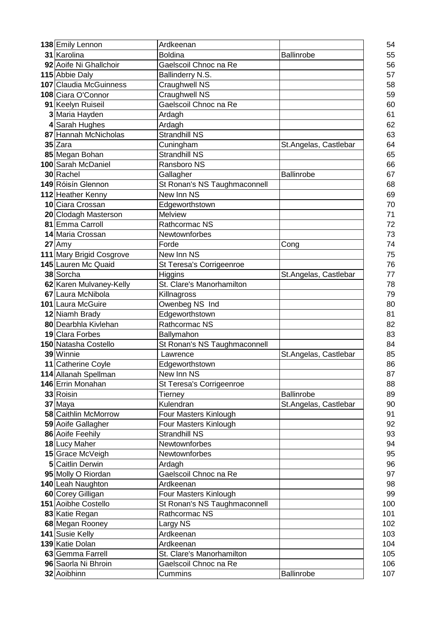| 138 Emily Lennon                  | Ardkeenan                                     |                       | 54       |
|-----------------------------------|-----------------------------------------------|-----------------------|----------|
| 31 Karolina                       | <b>Boldina</b>                                | <b>Ballinrobe</b>     | 55       |
| 92 Aoife Ni Ghallchoir            | Gaelscoil Chnoc na Re                         |                       | 56       |
| 115 Abbie Daly                    | Ballinderry N.S.                              |                       | 57       |
| 107 Claudia McGuinness            | Craughwell NS                                 |                       | 58       |
| 108 Ciara O'Connor                | Craughwell NS                                 |                       | 59       |
| 91 Keelyn Ruiseil                 | Gaelscoil Chnoc na Re                         |                       | 60       |
| 3 Maria Hayden                    | Ardagh                                        |                       | 61       |
| 4 Sarah Hughes                    | Ardagh                                        |                       | 62       |
| 87 Hannah McNicholas              | <b>Strandhill NS</b>                          |                       | 63       |
| 35 Zara                           | Cuningham                                     | St.Angelas, Castlebar | 64       |
| 85 Megan Bohan                    | Strandhill NS                                 |                       | 65       |
| 100 Sarah McDaniel                | Ransboro NS                                   |                       | 66       |
| 30 Rachel                         | Gallagher                                     | Ballinrobe            | 67       |
| 149 Róisín Glennon                | St Ronan's NS Taughmaconnell                  |                       | 68       |
| 112 Heather Kenny                 | New Inn NS                                    |                       | 69       |
| 10 Ciara Crossan                  | Edgeworthstown                                |                       | 70       |
| 20 Clodagh Masterson              | Melview                                       |                       | 71       |
| 81 Emma Carroll                   | Rathcormac NS                                 |                       | 72       |
| 14 Maria Crossan                  | Newtownforbes                                 |                       | 73       |
| 27 Amy                            | Forde                                         | Cong                  | 74       |
| 111 Mary Brigid Cosgrove          | New Inn NS                                    |                       | 75       |
| 145 Lauren Mc Quaid               | St Teresa's Corrigeenroe                      |                       | 76       |
| 38 Sorcha                         | Higgins                                       | St.Angelas, Castlebar | 77       |
| 62 Karen Mulvaney-Kelly           | St. Clare's Manorhamilton                     |                       | 78       |
| 67 Laura McNibola                 | Killnagross                                   |                       | 79       |
| 101 Laura McGuire                 | Owenbeg NS Ind                                |                       | 80       |
| 12 Niamh Brady                    | Edgeworthstown                                |                       | 81       |
| 80 Dearbhla Kivlehan              | Rathcormac NS                                 |                       | 82       |
| 19 Clara Forbes                   | Ballymahon                                    |                       | 83       |
| 150 Natasha Costello              | St Ronan's NS Taughmaconnell                  |                       | 84       |
| 39 Winnie                         | Lawrence                                      | St.Angelas, Castlebar | 85       |
| 11 Catherine Coyle                | Edgeworthstown                                |                       | 86       |
| 114 Allanah Spellman              | New Inn NS                                    |                       | 87       |
| 146 Errin Monahan                 | St Teresa's Corrigeenroe                      |                       | 88       |
| 33 Roisin                         | Tierney                                       | <b>Ballinrobe</b>     | 89       |
| 37 Maya                           | Kulendran                                     | St.Angelas, Castlebar | 90       |
| 58 Caithlin McMorrow              | Four Masters Kinlough                         |                       | 91       |
| 59 Aoife Gallagher                | Four Masters Kinlough<br><b>Strandhill NS</b> |                       | 92<br>93 |
| 86 Aoife Feehily<br>18 Lucy Maher | Newtownforbes                                 |                       | 94       |
| 15 Grace McVeigh                  | Newtownforbes                                 |                       | 95       |
| 5 Caitlin Derwin                  | Ardagh                                        |                       | 96       |
| 95 Molly O Riordan                | Gaelscoil Chnoc na Re                         |                       | 97       |
| 140 Leah Naughton                 | Ardkeenan                                     |                       | 98       |
| 60 Corey Gilligan                 | Four Masters Kinlough                         |                       | 99       |
| 151 Aoibhe Costello               | St Ronan's NS Taughmaconnell                  |                       | 100      |
| 83 Katie Regan                    | Rathcormac NS                                 |                       | 101      |
| 68 Megan Rooney                   | Largy NS                                      |                       | 102      |
| 141 Susie Kelly                   | Ardkeenan                                     |                       | 103      |
| 139 Katie Dolan                   | Ardkeenan                                     |                       | 104      |
| 63 Gemma Farrell                  | St. Clare's Manorhamilton                     |                       | 105      |
| 96 Saorla Ni Bhroin               | Gaelscoil Chnoc na Re                         |                       | 106      |
| 32 Aoibhinn                       | Cummins                                       | Ballinrobe            | 107      |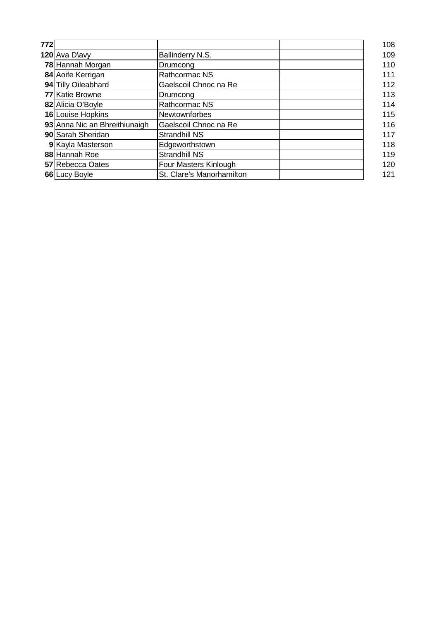| 772 |                               |                           | 108 |
|-----|-------------------------------|---------------------------|-----|
|     | 120 Ava D\avy                 | Ballinderry N.S.          | 109 |
|     | 78 Hannah Morgan              | Drumcong                  | 110 |
|     | 84 Aoife Kerrigan             | Rathcormac NS             | 111 |
|     | 94 Tilly Oileabhard           | Gaelscoil Chnoc na Re     | 112 |
|     | 77 Katie Browne               | Drumcong                  | 113 |
|     | 82 Alicia O'Boyle             | Rathcormac NS             | 114 |
|     | 16 Louise Hopkins             | Newtownforbes             | 115 |
|     | 93 Anna Nic an Bhreithiunaigh | Gaelscoil Chnoc na Re     | 116 |
|     | 90 Sarah Sheridan             | <b>Strandhill NS</b>      | 117 |
|     | 9 Kayla Masterson             | Edgeworthstown            | 118 |
|     | 88 Hannah Roe                 | <b>Strandhill NS</b>      | 119 |
|     | 57 Rebecca Oates              | Four Masters Kinlough     | 120 |
|     | 66 Lucy Boyle                 | St. Clare's Manorhamilton | 121 |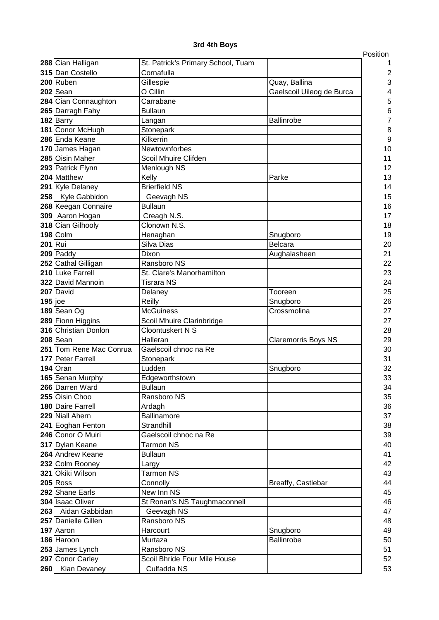## **3rd 4th Boys**

|                         |                                    |                            | Position       |
|-------------------------|------------------------------------|----------------------------|----------------|
| 288 Cian Halligan       | St. Patrick's Primary School, Tuam |                            | 1              |
| 315 Dan Costello        | Cornafulla                         |                            | $\overline{c}$ |
| $200$ Ruben             | Gillespie                          | Quay, Ballina              | 3              |
| $202$ Sean              | O Cillin                           | Gaelscoil Uileog de Burca  | 4              |
| 284 Cian Connaughton    | Carrabane                          |                            | 5              |
| 265 Darragh Fahy        | <b>Bullaun</b>                     |                            | 6              |
| 182 Barry               | Langan                             | Ballinrobe                 | 7              |
| 181 Conor McHugh        | Stonepark                          |                            | 8              |
| 286 Enda Keane          | Kilkerrin                          |                            | 9              |
| 170 James Hagan         | Newtownforbes                      |                            | 10             |
| 285 Oisin Maher         | Scoil Mhuire Clifden               |                            | 11             |
| 293 Patrick Flynn       | Menlough NS                        |                            | 12             |
| 204 Matthew             | Kelly                              | Parke                      | 13             |
| 291 Kyle Delaney        | <b>Brierfield NS</b>               |                            | 14             |
| 258 Kyle Gabbidon       | Geevagh NS                         |                            | 15             |
| 268 Keegan Connaire     | <b>Bullaun</b>                     |                            | 16             |
| 309 Aaron Hogan         | Creagh N.S.                        |                            | 17             |
| 318 Cian Gilhooly       | Clonown N.S.                       |                            | 18             |
| $198$ Colm              | Henaghan                           | Snugboro                   | 19             |
| 201 Rui                 | Silva Dias                         | <b>Belcara</b>             | 20             |
| 209 Paddy               | Dixon                              | Aughalasheen               | 21             |
| 252 Cathal Gilligan     | Ransboro NS                        |                            | 22             |
| 210 Luke Farrell        | St. Clare's Manorhamilton          |                            | 23             |
| 322 David Mannoin       | <b>Tisrara NS</b>                  |                            | 24             |
| 207 David               | Delaney                            | Tooreen                    | 25             |
| $195$ joe               | Reilly                             | Snugboro                   | 26             |
| 189 Sean Og             | <b>McGuiness</b>                   | Crossmolina                | 27             |
| 289 Fionn Higgins       | Scoil Mhuire Clarinbridge          |                            | 27             |
| 316 Christian Donlon    | Cloontuskert N S                   |                            | 28             |
| 208 Sean                | Halleran                           | <b>Claremorris Boys NS</b> | 29             |
| 251 Tom Rene Mac Conrua | Gaelscoil chnoc na Re              |                            | 30             |
| 177 Peter Farrell       | Stonepark                          |                            | 31             |
| 194 Oran                | Ludden                             | Snugboro                   | 32             |
| 165 Senan Murphy        | Edgeworthstown                     |                            | 33             |
| 266 Darren Ward         | <b>Bullaun</b>                     |                            | 34             |
| 255 Oisin Choo          | Ransboro NS                        |                            | 35             |
| 180 Daire Farrell       | Ardagh                             |                            | 36             |
| 229 Niall Ahern         | Ballinamore                        |                            | 37             |
| 241 Eoghan Fenton       | Strandhill                         |                            | 38             |
| 246 Conor O Muiri       | Gaelscoil chnoc na Re              |                            | 39             |
| 317 Dylan Keane         | <b>Tarmon NS</b>                   |                            | 40             |
| 264 Andrew Keane        | <b>Bullaun</b>                     |                            | 41             |
| 232 Colm Rooney         | Largy                              |                            | 42             |
| 321 Okiki Wilson        | <b>Tarmon NS</b>                   |                            | 43             |
| $205$ Ross              | Connolly                           | Breaffy, Castlebar         | 44             |
| 292 Shane Earls         | New Inn NS                         |                            | 45             |
| 304 Isaac Oliver        | St Ronan's NS Taughmaconnell       |                            | 46             |
| 263 Aidan Gabbidan      | Geevagh NS                         |                            | 47             |
| 257 Danielle Gillen     | Ransboro NS                        |                            | 48             |
| 197 Aaron               | Harcourt                           | Snugboro                   | 49             |
| 186 Haroon              | Murtaza                            | Ballinrobe                 | 50             |
| 253 James Lynch         | Ransboro NS                        |                            | 51             |
|                         |                                    |                            | 52             |
| 297 Conor Carley        | Scoil Bhride Four Mile House       |                            |                |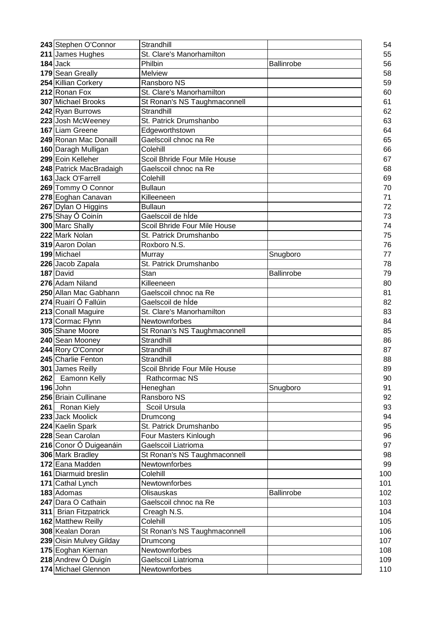| 243 Stephen O'Connor    | Strandhill                   |                   | 54  |
|-------------------------|------------------------------|-------------------|-----|
| 211 James Hughes        | St. Clare's Manorhamilton    |                   | 55  |
| $184$ Jack              | Philbin                      | Ballinrobe        | 56  |
| 179 Sean Greally        | Melview                      |                   | 58  |
| 254 Killian Corkery     | Ransboro NS                  |                   | 59  |
| 212 Ronan Fox           | St. Clare's Manorhamilton    |                   | 60  |
| 307 Michael Brooks      | St Ronan's NS Taughmaconnell |                   | 61  |
| 242 Ryan Burrows        | Strandhill                   |                   | 62  |
| 223 Josh McWeeney       | St. Patrick Drumshanbo       |                   | 63  |
| 167 Liam Greene         | Edgeworthstown               |                   | 64  |
| 249 Ronan Mac Donaill   | Gaelscoil chnoc na Re        |                   | 65  |
| 160 Daragh Mulligan     | Colehill                     |                   | 66  |
| 299 Eoin Kelleher       | Scoil Bhride Four Mile House |                   | 67  |
| 248 Patrick MacBradaigh | Gaelscoil chnoc na Re        |                   | 68  |
| 163 Jack O'Farrell      | Colehill                     |                   | 69  |
| 269 Tommy O Connor      | <b>Bullaun</b>               |                   | 70  |
| 278 Eoghan Canavan      | Killeeneen                   |                   | 71  |
| 267 Dylan O Higgins     | <b>Bullaun</b>               |                   | 72  |
| 275 Shay Ó Coinín       | Gaelscoil de hÍde            |                   | 73  |
| 300 Marc Shally         | Scoil Bhride Four Mile House |                   | 74  |
| 222 Mark Nolan          | St. Patrick Drumshanbo       |                   | 75  |
| 319 Aaron Dolan         | Roxboro N.S.                 |                   | 76  |
| 199 Michael             | Murray                       | Snugboro          | 77  |
| 226 Jacob Zapala        | St. Patrick Drumshanbo       |                   | 78  |
| 187 David               | Stan                         | <b>Ballinrobe</b> | 79  |
| 276 Adam Niland         | Killeeneen                   |                   | 80  |
| 250 Allan Mac Gabhann   | Gaelscoil chnoc na Re        |                   | 81  |
| 274 Ruairí Ó Fallúin    | Gaelscoil de hÍde            |                   | 82  |
| 213 Conall Maguire      | St. Clare's Manorhamilton    |                   | 83  |
| 173 Cormac Flynn        | Newtownforbes                |                   | 84  |
| 305 Shane Moore         | St Ronan's NS Taughmaconnell |                   | 85  |
| 240 Sean Mooney         | Strandhill                   |                   | 86  |
| 244 Rory O'Connor       | Strandhill                   |                   | 87  |
| 245 Charlie Fenton      | Strandhill                   |                   | 88  |
| 301 James Reilly        | Scoil Bhride Four Mile House |                   | 89  |
| 262 Eamonn Kelly        | Rathcormac NS                |                   | 90  |
| 196 John                | Heneghan                     | Snugboro          | 91  |
| 256 Briain Cullinane    | Ransboro NS                  |                   | 92  |
| 261 Ronan Kiely         | Scoil Ursula                 |                   | 93  |
| 233 Jack Moolick        | Drumcong                     |                   | 94  |
| 224 Kaelin Spark        | St. Patrick Drumshanbo       |                   | 95  |
| 228 Sean Carolan        | Four Masters Kinlough        |                   | 96  |
| 216 Conor Ó Duigeanáin  | <b>Gaelscoil Liatrioma</b>   |                   | 97  |
| 306 Mark Bradley        | St Ronan's NS Taughmaconnell |                   | 98  |
| 172 Eana Madden         | Newtownforbes                |                   | 99  |
| 161 Diarmuid breslin    | Colehill                     |                   | 100 |
| 171 Cathal Lynch        | Newtownforbes                |                   | 101 |
| 183 Adomas              | Olisauskas                   | Ballinrobe        | 102 |
| 247 Dara O Cathain      | Gaelscoil chnoc na Re        |                   | 103 |
| 311 Brian Fitzpatrick   | Creagh N.S.                  |                   | 104 |
| 162 Matthew Reilly      | Colehill                     |                   | 105 |
| 308 Kealan Doran        | St Ronan's NS Taughmaconnell |                   | 106 |
| 239 Oisin Mulvey Gilday | Drumcong                     |                   | 107 |
| 175 Eoghan Kiernan      | Newtownforbes                |                   | 108 |
| 218 Andrew Ó Duigín     | Gaelscoil Liatrioma          |                   | 109 |
| 174 Michael Glennon     | Newtownforbes                |                   | 110 |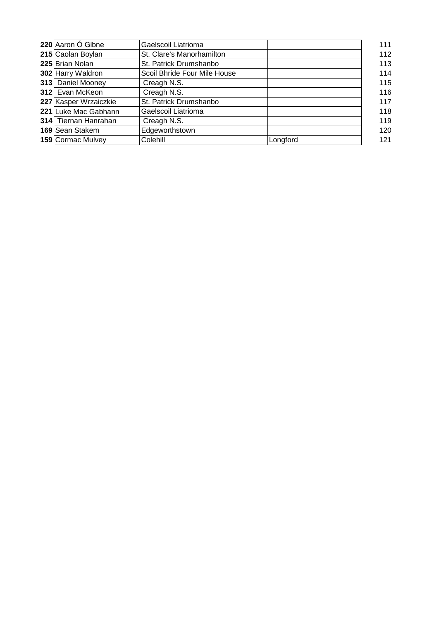| 220 Aaron Ó Gibne     | Gaelscoil Liatrioma          |          | 111 |
|-----------------------|------------------------------|----------|-----|
| 215 Caolan Boylan     | St. Clare's Manorhamilton    |          | 112 |
| 225 Brian Nolan       | St. Patrick Drumshanbo       |          | 113 |
| 302 Harry Waldron     | Scoil Bhride Four Mile House |          | 114 |
| 313 Daniel Mooney     | Creagh N.S.                  |          | 115 |
| 312 Evan McKeon       | Creagh N.S.                  |          | 116 |
| 227 Kasper Wrzaiczkie | St. Patrick Drumshanbo       |          | 117 |
| 221 Luke Mac Gabhann  | Gaelscoil Liatrioma          |          | 118 |
| 314 Tiernan Hanrahan  | Creagh N.S.                  |          | 119 |
| 169 Sean Stakem       | Edgeworthstown               |          | 120 |
| 159 Cormac Mulvey     | Colehill                     | Longford | 121 |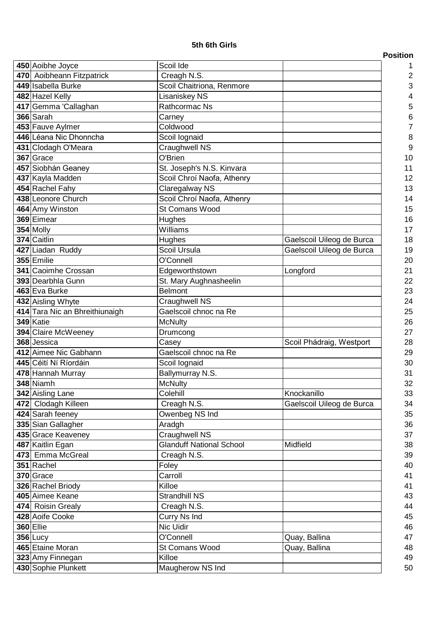## **5th 6th Girls**

| 450 Aoibhe Joyce               | Scoil Ide                       |                           |
|--------------------------------|---------------------------------|---------------------------|
| 470 Aoibheann Fitzpatrick      | Creagh N.S.                     |                           |
| 449 Isabella Burke             | Scoil Chaitriona, Renmore       |                           |
| 482 Hazel Kelly                | Lisaniskey NS                   |                           |
| 417 Gemma 'Callaghan           | Rathcormac Ns                   |                           |
| 366 Sarah                      | Carney                          |                           |
| 453 Fauve Aylmer               | Coldwood                        |                           |
| 446 Léana Nic Dhonncha         | Scoil lognaid                   |                           |
| 431 Clodagh O'Meara            | Craughwell NS                   |                           |
| 367 Grace                      | O'Brien                         |                           |
| 457 Siobhán Geaney             | St. Joseph's N.S. Kinvara       |                           |
| 437 Kayla Madden               | Scoil Chroí Naofa, Athenry      |                           |
| 454 Rachel Fahy                | Claregalway NS                  |                           |
| 438 Leonore Church             | Scoil Chroí Naofa, Athenry      |                           |
| 464 Amy Winston                | St Comans Wood                  |                           |
| 369 Eimear                     | Hughes                          |                           |
| $354$ Molly                    | Williams                        |                           |
| 374 Caitlin                    | Hughes                          | Gaelscoil Uileog de Burca |
| 427 Liadan Ruddy               | Scoil Ursula                    | Gaelscoil Uileog de Burca |
| 355 Emilie                     | O'Connell                       |                           |
| 341 Caoimhe Crossan            | Edgeworthstown                  | Longford                  |
| 393 Dearbhla Gunn              | St. Mary Aughnasheelin          |                           |
| 463 Eva Burke                  | <b>Belmont</b>                  |                           |
| 432 Aisling Whyte              | Craughwell NS                   |                           |
| 414 Tara Nic an Bhreithiunaigh | Gaelscoil chnoc na Re           |                           |
| 349 Katie                      | <b>McNulty</b>                  |                           |
| 394 Claire McWeeney            | Drumcong                        |                           |
| 368 Jessica                    | Casey                           | Scoil Phádraig, Westport  |
| 412 Aimee Nic Gabhann          | Gaelscoil chnoc na Re           |                           |
| 445 Céití Ní Ríordáin          | Scoil lognaid                   |                           |
| 478 Hannah Murray              | Ballymurray N.S.                |                           |
| 348 Niamh                      | <b>McNulty</b>                  |                           |
| 342 Aisling Lane               | Colehill                        | Knockanillo               |
| 472 Clodagh Killeen            | Creagh N.S.                     | Gaelscoil Uileog de Burca |
| 424 Sarah feeney               | Owenbeg NS Ind                  |                           |
| 335 Sian Gallagher             | Aradgh                          |                           |
| 435 Grace Keaveney             | Craughwell NS                   |                           |
| 487 Kaitlin Egan               | <b>Glanduff National School</b> | Midfield                  |
| 473 Emma McGreal               | Creagh N.S.                     |                           |
| 351 Rachel                     | Foley                           |                           |
| 370 Grace                      | Carroll                         |                           |
| 326 Rachel Briody              | Killoe                          |                           |
| 405 Aimee Keane                | <b>Strandhill NS</b>            |                           |
| 474 Roisin Grealy              | Creagh N.S.                     |                           |
| 428 Aoife Cooke                | Curry Ns Ind                    |                           |
| <b>360 Ellie</b>               | Nic Uidir                       |                           |
| $356$ Lucy                     | O'Connell                       | Quay, Ballina             |
| 465 Etaine Moran               | St Comans Wood                  | Quay, Ballina             |
| 323 Amy Finnegan               | Killoe                          |                           |
| 430 Sophie Plunkett            | Maugherow NS Ind                |                           |
|                                |                                 |                           |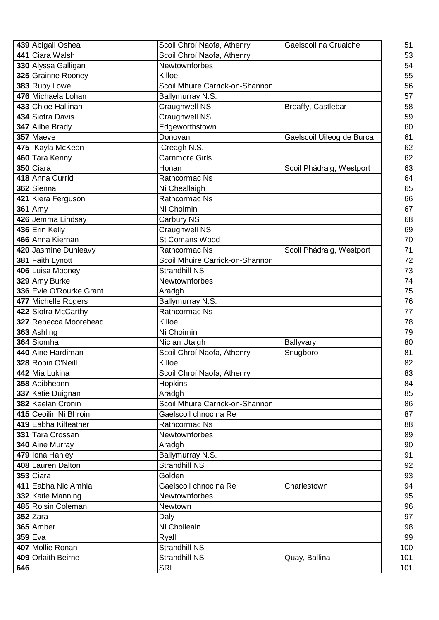|     | 439 Abigail Oshea                  | Scoil Chroí Naofa, Athenry             | Gaelscoil na Cruaiche     |
|-----|------------------------------------|----------------------------------------|---------------------------|
|     | 441 Ciara Walsh                    | Scoil Chroí Naofa, Athenry             |                           |
|     | 330 Alyssa Galligan                | Newtownforbes                          |                           |
|     | 325 Grainne Rooney                 | Killoe                                 |                           |
|     | 383 Ruby Lowe                      | Scoil Mhuire Carrick-on-Shannon        |                           |
|     | 476 Michaela Lohan                 | Ballymurray N.S.                       |                           |
|     | 433 Chloe Hallinan                 | Craughwell NS                          | Breaffy, Castlebar        |
|     | 434 Siofra Davis                   | <b>Craughwell NS</b>                   |                           |
|     | 347 Ailbe Brady                    | Edgeworthstown                         |                           |
|     | 357 Maeve                          | Donovan                                | Gaelscoil Uileog de Burca |
|     | 475 Kayla McKeon                   | Creagh N.S.                            |                           |
|     | 460 Tara Kenny                     | <b>Carnmore Girls</b>                  |                           |
|     | 350 Ciara                          | Honan                                  | Scoil Phádraig, Westport  |
|     | 418 Anna Currid                    | Rathcormac Ns                          |                           |
|     | 362 Sienna                         | Ni Cheallaigh                          |                           |
|     | 421 Kiera Ferguson                 | Rathcormac Ns                          |                           |
|     | <b>361</b> Amy                     | Ni Choimin                             |                           |
|     | 426 Jemma Lindsay                  | Carbury NS                             |                           |
|     |                                    |                                        |                           |
|     | 436 Erin Kelly<br>466 Anna Kiernan | <b>Craughwell NS</b><br>St Comans Wood |                           |
|     |                                    | Rathcormac Ns                          |                           |
|     | 420 Jasmine Dunleavy               |                                        | Scoil Phádraig, Westport  |
|     | 381 Faith Lynott                   | Scoil Mhuire Carrick-on-Shannon        |                           |
|     | 406 Luisa Mooney                   | <b>Strandhill NS</b>                   |                           |
|     | 329 Amy Burke                      | Newtownforbes                          |                           |
|     | 336 Evie O'Rourke Grant            | Aradgh                                 |                           |
|     | 477 Michelle Rogers                | Ballymurray N.S.                       |                           |
|     | 422 Siofra McCarthy                | <b>Rathcormac Ns</b>                   |                           |
|     | 327 Rebecca Moorehead              | Killoe                                 |                           |
|     | 363 Ashling                        | Ni Choimin                             |                           |
|     | 364 Siomha                         | Nic an Utaigh                          | Ballyvary                 |
|     | 440 Aine Hardiman                  | Scoil Chroí Naofa, Athenry             | Snugboro                  |
|     | 328 Robin O'Neill                  | Killoe                                 |                           |
|     | 442 Mia Lukina                     | Scoil Chroí Naofa, Athenry             |                           |
|     | 358 Aoibheann                      | <b>Hopkins</b>                         |                           |
|     | 337 Katie Duignan                  | Aradgh                                 |                           |
|     | 382 Keelan Cronin                  | Scoil Mhuire Carrick-on-Shannon        |                           |
|     | 415 Ceoilin Ni Bhroin              | Gaelscoil chnoc na Re                  |                           |
|     | 419 Eabha Kilfeather               | Rathcormac Ns                          |                           |
|     | 331 Tara Crossan                   | <b>Newtownforbes</b>                   |                           |
|     | 340 Aine Murray                    | Aradgh                                 |                           |
|     | 479 Iona Hanley                    | Ballymurray N.S.                       |                           |
|     | 408 Lauren Dalton                  | <b>Strandhill NS</b>                   |                           |
|     | $353$ Ciara                        | Golden                                 |                           |
|     | 411 Eabha Nic Amhlai               | Gaelscoil chnoc na Re                  | Charlestown               |
|     | 332 Katie Manning                  | Newtownforbes                          |                           |
|     | 485 Roisin Coleman                 | Newtown                                |                           |
|     | $352$ Zara                         | Daly                                   |                           |
|     | 365 Amber                          | Ni Choileain                           |                           |
|     | $359$ Eva                          | Ryall                                  |                           |
|     | 407 Mollie Ronan                   | Strandhill NS                          |                           |
|     | 409 Orlaith Beirne                 | Strandhill NS                          | Quay, Ballina             |
| 646 |                                    | <b>SRL</b>                             |                           |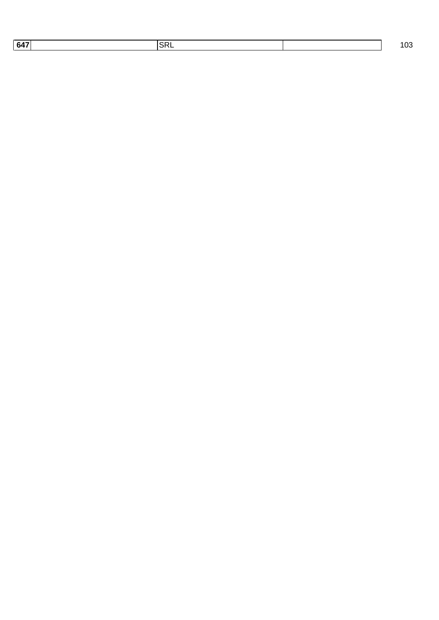| םי<br>647<br><u>ъв.</u><br>.<br>$\sim$ $\sim$ $\sim$ $\sim$ $\sim$ $\sim$ $\sim$ |  |
|----------------------------------------------------------------------------------|--|
|----------------------------------------------------------------------------------|--|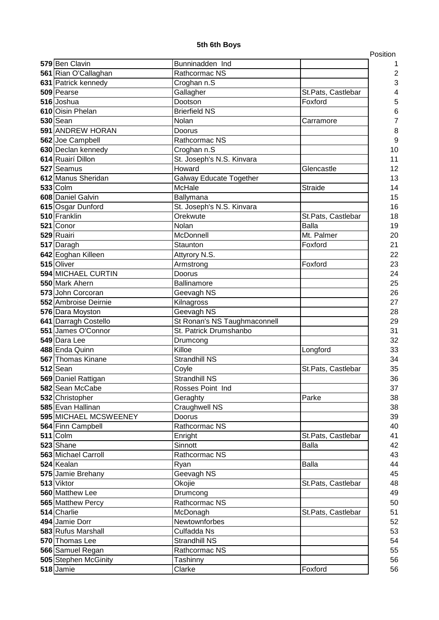|                                  |                                |                    | Position |
|----------------------------------|--------------------------------|--------------------|----------|
| 579 Ben Clavin                   | Bunninadden Ind                |                    |          |
| 561 Rian O'Callaghan             | Rathcormac NS                  |                    | 2        |
| 631 Patrick kennedy              | Croghan n.S                    |                    | 3        |
| 509 Pearse                       | Gallagher                      | St.Pats, Castlebar |          |
| 516 Joshua                       | Dootson                        | Foxford            | 5        |
| 610 Oisin Phelan                 | <b>Brierfield NS</b>           |                    | 6        |
| $530$ Sean                       | Nolan                          | Carramore          |          |
| 591 ANDREW HORAN                 | Doorus                         |                    | 8        |
| 562 Joe Campbell                 | Rathcormac NS                  |                    | 9        |
| 630 Declan kennedy               | Croghan n.S                    |                    | 10       |
| 614 Ruairí Dillon                | St. Joseph's N.S. Kinvara      |                    | 11       |
| 527 Seamus                       | Howard                         | Glencastle         | 12       |
| 612 Manus Sheridan               | <b>Galway Educate Together</b> |                    | 13       |
| $533$ Colm                       | McHale                         | Straide            | 14       |
| 608 Daniel Galvin                | Ballymana                      |                    | 15       |
| 615 Osgar Dunford                | St. Joseph's N.S. Kinvara      |                    | 16       |
| 510 Franklin                     | Orekwute                       | St.Pats, Castlebar | 18       |
| 521 Conor                        | Nolan                          | <b>Balla</b>       | 19       |
| 529 Ruairi                       | McDonnell                      | Mt. Palmer         | 20       |
| 517 Daragh                       | Staunton                       | Foxford            | 21       |
| 642 Eoghan Killeen               | Attyrory N.S.                  |                    | 22       |
| 515 Oliver<br>594 MICHAEL CURTIN | Armstrong                      | Foxford            | 23       |
| 550 Mark Ahern                   | Doorus<br>Ballinamore          |                    | 24       |
| 573 John Corcoran                |                                |                    | 25<br>26 |
| 552 Ambroise Deirnie             | Geevagh NS<br>Kilnagross       |                    | 27       |
| 576 Dara Moyston                 | Geevagh NS                     |                    | 28       |
| 641 Darragh Costello             | St Ronan's NS Taughmaconnell   |                    | 29       |
| 551 James O'Connor               | St. Patrick Drumshanbo         |                    | 31       |
| 549 Dara Lee                     | Drumcong                       |                    | 32       |
| 488 Enda Quinn                   | Killoe                         | Longford           | 33       |
| 567 Thomas Kinane                | <b>Strandhill NS</b>           |                    | 34       |
| $512$ Sean                       | Coyle                          | St.Pats, Castlebar | 35       |
| 569 Daniel Rattigan              | Strandhill NS                  |                    | 36       |
| 582 Sean McCabe                  | Rosses Point Ind               |                    | 37       |
| 532 Christopher                  | Geraghty                       | Parke              | 38       |
| 585 Evan Hallinan                | Craughwell NS                  |                    | 38       |
| 595 MICHAEL MCSWEENEY            | Doorus                         |                    | 39       |
| 564 Finn Campbell                | Rathcormac NS                  |                    | 40       |
| $511$ Colm                       | Enright                        | St.Pats, Castlebar | 41       |
| 523 Shane                        | Sinnott                        | <b>Balla</b>       | 42       |
| 563 Michael Carroll              | Rathcormac NS                  |                    | 43       |
| 524 Kealan                       | Ryan                           | Balla              | 44       |
| 575 Jamie Brehany                | Geevagh NS                     |                    | 45       |
| 513 Viktor                       | Okojie                         | St.Pats, Castlebar | 48       |
| 560 Matthew Lee                  | Drumcong                       |                    | 49       |
| 565 Matthew Percy                | Rathcormac NS                  |                    | 50       |
| 514 Charlie                      | McDonagh                       | St.Pats, Castlebar | 51       |
| 494 Jamie Dorr                   | Newtownforbes                  |                    | 52       |
| 583 Rufus Marshall               | Culfadda Ns                    |                    | 53       |
| 570 Thomas Lee                   | <b>Strandhill NS</b>           |                    | 54       |
| 566 Samuel Regan                 | Rathcormac NS                  |                    | 55       |
| 505 Stephen McGinity             | Tashinny                       |                    | 56       |
| 518 Jamie                        | Clarke                         | Foxford            | 56       |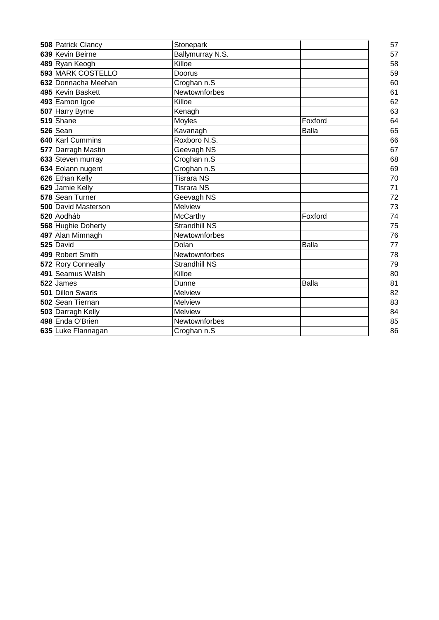| 508 Patrick Clancy         | Stonepark            |              | 57 |
|----------------------------|----------------------|--------------|----|
| 639 Kevin Beirne           | Ballymurray N.S.     |              | 57 |
| 489 Ryan Keogh             | Killoe               |              | 58 |
| 593 MARK COSTELLO          | Doorus               |              | 59 |
| 632 Donnacha Meehan        | Croghan n.S          |              | 60 |
| 495 Kevin Baskett          | Newtownforbes        |              | 61 |
| 493 Eamon Igoe             | Killoe               |              | 62 |
| 507 Harry Byrne            | Kenagh               |              | 63 |
| 519 Shane                  | Moyles               | Foxford      | 64 |
| 526 Sean                   | Kavanagh             | <b>Balla</b> | 65 |
| 640 Karl Cummins           | Roxboro N.S.         |              | 66 |
| 577 Darragh Mastin         | Geevagh NS           |              | 67 |
| 633 Steven murray          | Croghan n.S          |              | 68 |
| 634 Eolann nugent          | Croghan n.S          |              | 69 |
| 626 Ethan Kelly            | <b>Tisrara NS</b>    |              | 70 |
| 629 Jamie Kelly            | <b>Tisrara NS</b>    |              | 71 |
| 578 Sean Turner            | Geevagh NS           |              | 72 |
| <b>500 David Masterson</b> | <b>Melview</b>       |              | 73 |
| 520 Aodháb                 | McCarthy             | Foxford      | 74 |
| 568 Hughie Doherty         | <b>Strandhill NS</b> |              | 75 |
| 497 Alan Mimnagh           | Newtownforbes        |              | 76 |
| 525 David                  | Dolan                | <b>Balla</b> | 77 |
| 499 Robert Smith           | Newtownforbes        |              | 78 |
| 572 Rory Conneally         | <b>Strandhill NS</b> |              | 79 |
| 491 Seamus Walsh           | Killoe               |              | 80 |
| 522 James                  | Dunne                | <b>Balla</b> | 81 |
| 501 Dillon Swaris          | <b>Melview</b>       |              | 82 |
| 502 Sean Tiernan           | <b>Melview</b>       |              | 83 |
| 503 Darragh Kelly          | <b>Melview</b>       |              | 84 |
| 498 Enda O'Brien           | Newtownforbes        |              | 85 |
| 635 Luke Flannagan         | Croghan n.S          |              | 86 |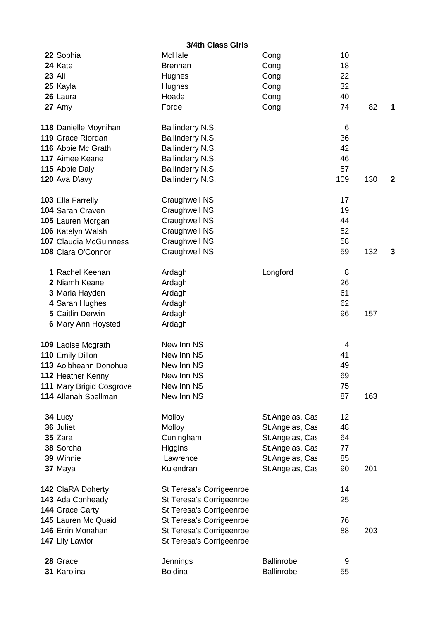|               |                               | 3/4th Class Girls        |                   |     |     |              |
|---------------|-------------------------------|--------------------------|-------------------|-----|-----|--------------|
|               | 22 Sophia                     | McHale                   | Cong              | 10  |     |              |
|               | 24 Kate                       | <b>Brennan</b>           | Cong              | 18  |     |              |
| <b>23 Ali</b> |                               | Hughes                   | Cong              | 22  |     |              |
|               | 25 Kayla                      | Hughes                   | Cong              | 32  |     |              |
|               | 26 Laura                      | Hoade                    | Cong              | 40  |     |              |
|               | 27 Amy                        | Forde                    | Cong              | 74  | 82  | 1            |
|               | 118 Danielle Moynihan         | Ballinderry N.S.         |                   | 6   |     |              |
|               | 119 Grace Riordan             | Ballinderry N.S.         |                   | 36  |     |              |
|               | 116 Abbie Mc Grath            | Ballinderry N.S.         |                   | 42  |     |              |
|               | 117 Aimee Keane               | Ballinderry N.S.         |                   | 46  |     |              |
|               | 115 Abbie Daly                | Ballinderry N.S.         |                   | 57  |     |              |
|               | 120 Ava D\avy                 | Ballinderry N.S.         |                   | 109 | 130 | $\mathbf{2}$ |
|               | 103 Ella Farrelly             | Craughwell NS            |                   | 17  |     |              |
|               | 104 Sarah Craven              | Craughwell NS            |                   | 19  |     |              |
|               | 105 Lauren Morgan             | <b>Craughwell NS</b>     |                   | 44  |     |              |
|               | 106 Katelyn Walsh             | <b>Craughwell NS</b>     |                   | 52  |     |              |
|               | <b>107 Claudia McGuinness</b> | Craughwell NS            |                   | 58  |     |              |
|               | 108 Ciara O'Connor            | Craughwell NS            |                   | 59  | 132 | 3            |
|               | 1 Rachel Keenan               | Ardagh                   | Longford          | 8   |     |              |
|               | 2 Niamh Keane                 | Ardagh                   |                   | 26  |     |              |
|               | 3 Maria Hayden                | Ardagh                   |                   | 61  |     |              |
|               | 4 Sarah Hughes                | Ardagh                   |                   | 62  |     |              |
|               | 5 Caitlin Derwin              | Ardagh                   |                   | 96  | 157 |              |
|               | 6 Mary Ann Hoysted            | Ardagh                   |                   |     |     |              |
|               | 109 Laoise Mcgrath            | New Inn NS               |                   | 4   |     |              |
|               | 110 Emily Dillon              | New Inn NS               |                   | 41  |     |              |
|               | 113 Aoibheann Donohue         | New Inn NS               |                   | 49  |     |              |
|               | 112 Heather Kenny             | New Inn NS               |                   | 69  |     |              |
|               | 111 Mary Brigid Cosgrove      | New Inn NS               |                   | 75  |     |              |
|               | 114 Allanah Spellman          | New Inn NS               |                   | 87  | 163 |              |
|               | 34 Lucy                       | Molloy                   | St.Angelas, Cas   | 12  |     |              |
|               | 36 Juliet                     | Molloy                   | St.Angelas, Cas   | 48  |     |              |
|               | 35 Zara                       | Cuningham                | St.Angelas, Cas   | 64  |     |              |
|               | 38 Sorcha                     | <b>Higgins</b>           | St.Angelas, Cas   | 77  |     |              |
|               | 39 Winnie                     | Lawrence                 | St.Angelas, Cas   | 85  |     |              |
|               | 37 Maya                       | Kulendran                | St.Angelas, Cas   | 90  | 201 |              |
|               | 142 ClaRA Doherty             | St Teresa's Corrigeenroe |                   | 14  |     |              |
|               | 143 Ada Conheady              | St Teresa's Corrigeenroe |                   | 25  |     |              |
|               | 144 Grace Carty               | St Teresa's Corrigeenroe |                   |     |     |              |
|               | 145 Lauren Mc Quaid           | St Teresa's Corrigeenroe |                   | 76  |     |              |
|               | 146 Errin Monahan             | St Teresa's Corrigeenroe |                   | 88  | 203 |              |
|               | 147 Lily Lawlor               | St Teresa's Corrigeenroe |                   |     |     |              |
|               | 28 Grace                      | Jennings                 | <b>Ballinrobe</b> | 9   |     |              |
|               | 31 Karolina                   | <b>Boldina</b>           | <b>Ballinrobe</b> | 55  |     |              |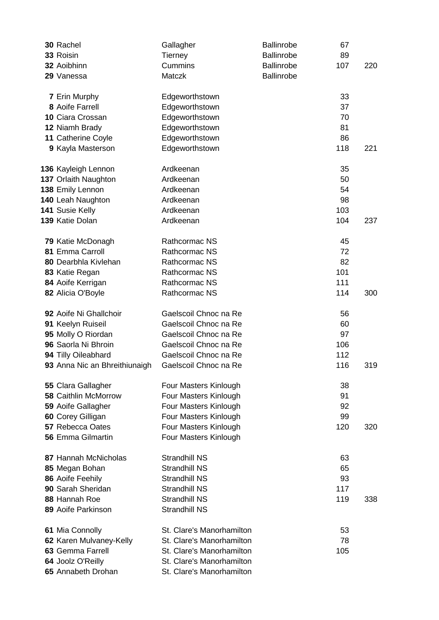| 30 Rachel                                         | Gallagher                 | <b>Ballinrobe</b> | 67       |     |
|---------------------------------------------------|---------------------------|-------------------|----------|-----|
| 33 Roisin                                         | <b>Tierney</b>            | <b>Ballinrobe</b> | 89       |     |
| 32 Aoibhinn                                       | Cummins                   | <b>Ballinrobe</b> | 107      | 220 |
| 29 Vanessa                                        | Matczk                    | <b>Ballinrobe</b> |          |     |
|                                                   |                           |                   |          |     |
| <b>7 Erin Murphy</b>                              | Edgeworthstown            |                   | 33       |     |
| 8 Aoife Farrell                                   | Edgeworthstown            |                   | 37       |     |
| 10 Ciara Crossan                                  | Edgeworthstown            |                   | 70       |     |
| 12 Niamh Brady                                    | Edgeworthstown            |                   | 81       |     |
| 11 Catherine Coyle                                | Edgeworthstown            |                   | 86       |     |
| 9 Kayla Masterson                                 | Edgeworthstown            |                   | 118      | 221 |
|                                                   |                           |                   |          |     |
| 136 Kayleigh Lennon                               | Ardkeenan                 |                   | 35       |     |
| 137 Orlaith Naughton                              | Ardkeenan                 |                   | 50       |     |
| 138 Emily Lennon                                  | Ardkeenan                 |                   | 54       |     |
| 140 Leah Naughton                                 | Ardkeenan                 |                   | 98       |     |
| 141 Susie Kelly                                   | Ardkeenan                 |                   | 103      |     |
| 139 Katie Dolan                                   | Ardkeenan                 |                   | 104      | 237 |
|                                                   |                           |                   |          |     |
| 79 Katie McDonagh                                 | Rathcormac NS             |                   | 45       |     |
| 81 Emma Carroll                                   | Rathcormac NS             |                   | 72       |     |
| 80 Dearbhla Kivlehan                              | Rathcormac NS             |                   | 82       |     |
| 83 Katie Regan                                    | <b>Rathcormac NS</b>      |                   | 101      |     |
| 84 Aoife Kerrigan                                 | Rathcormac NS             |                   | 111      |     |
| 82 Alicia O'Boyle                                 | Rathcormac NS             |                   | 114      | 300 |
|                                                   |                           |                   |          |     |
| 92 Aoife Ni Ghallchoir                            | Gaelscoil Chnoc na Re     |                   | 56       |     |
| 91 Keelyn Ruiseil                                 | Gaelscoil Chnoc na Re     |                   | 60       |     |
| 95 Molly O Riordan                                | Gaelscoil Chnoc na Re     |                   | 97       |     |
| 96 Saorla Ni Bhroin                               | Gaelscoil Chnoc na Re     |                   | 106      |     |
| 94 Tilly Oileabhard                               | Gaelscoil Chnoc na Re     |                   | 112      |     |
| 93 Anna Nic an Bhreithiunaigh                     | Gaelscoil Chnoc na Re     |                   | 116      | 319 |
|                                                   |                           |                   |          |     |
| 55 Clara Gallagher<br><b>58 Caithlin McMorrow</b> | Four Masters Kinlough     |                   | 38       |     |
|                                                   | Four Masters Kinlough     |                   | 91<br>92 |     |
| 59 Aoife Gallagher                                | Four Masters Kinlough     |                   | 99       |     |
| 60 Corey Gilligan<br><b>57 Rebecca Oates</b>      | Four Masters Kinlough     |                   |          |     |
| 56 Emma Gilmartin                                 | Four Masters Kinlough     |                   | 120      | 320 |
|                                                   | Four Masters Kinlough     |                   |          |     |
| 87 Hannah McNicholas                              | <b>Strandhill NS</b>      |                   | 63       |     |
| 85 Megan Bohan                                    | <b>Strandhill NS</b>      |                   | 65       |     |
| 86 Aoife Feehily                                  | <b>Strandhill NS</b>      |                   | 93       |     |
| 90 Sarah Sheridan                                 | <b>Strandhill NS</b>      |                   | 117      |     |
| 88 Hannah Roe                                     | <b>Strandhill NS</b>      |                   | 119      | 338 |
| 89 Aoife Parkinson                                | <b>Strandhill NS</b>      |                   |          |     |
|                                                   |                           |                   |          |     |
| 61 Mia Connolly                                   | St. Clare's Manorhamilton |                   | 53       |     |
| 62 Karen Mulvaney-Kelly                           | St. Clare's Manorhamilton |                   | 78       |     |
| 63 Gemma Farrell                                  | St. Clare's Manorhamilton |                   | 105      |     |
| 64 Joolz O'Reilly                                 | St. Clare's Manorhamilton |                   |          |     |
| 65 Annabeth Drohan                                | St. Clare's Manorhamilton |                   |          |     |
|                                                   |                           |                   |          |     |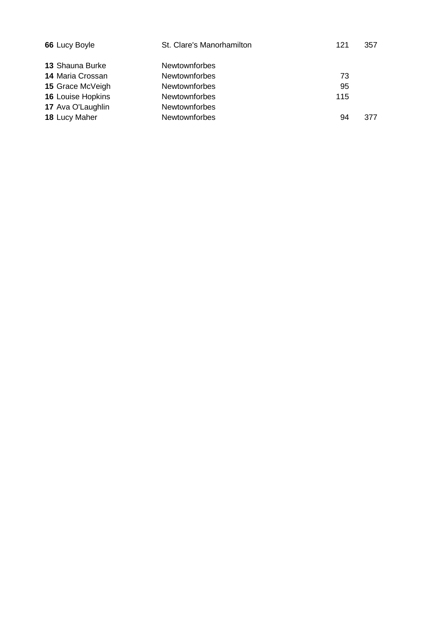| 66 Lucy Boyle            | St. Clare's Manorhamilton | 121 | 357 |
|--------------------------|---------------------------|-----|-----|
| 13 Shauna Burke          | <b>Newtownforbes</b>      |     |     |
| <b>14 Maria Crossan</b>  | Newtownforbes             | 73  |     |
| 15 Grace McVeigh         | <b>Newtownforbes</b>      | 95  |     |
| <b>16 Louise Hopkins</b> | <b>Newtownforbes</b>      | 115 |     |
| 17 Ava O'Laughlin        | <b>Newtownforbes</b>      |     |     |
| 18 Lucy Maher            | <b>Newtownforbes</b>      | 94  | 377 |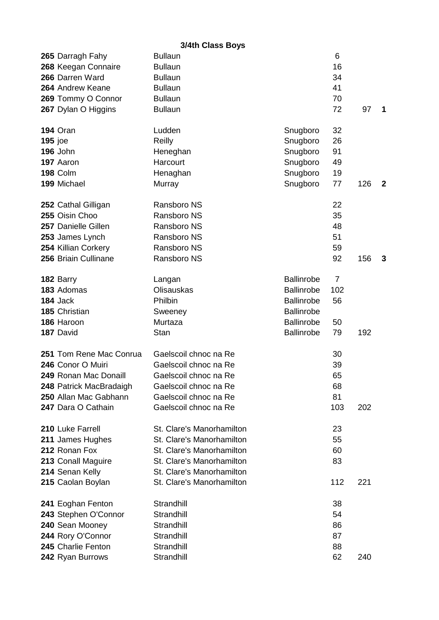## **3/4th Class Boys**

|                | 265 Darragh Fahy        | <b>Bullaun</b>            |                   | 6              |     |              |
|----------------|-------------------------|---------------------------|-------------------|----------------|-----|--------------|
|                | 268 Keegan Connaire     | <b>Bullaun</b>            |                   | 16             |     |              |
|                | 266 Darren Ward         | <b>Bullaun</b>            |                   | 34             |     |              |
|                | 264 Andrew Keane        | <b>Bullaun</b>            |                   | 41             |     |              |
|                | 269 Tommy O Connor      | <b>Bullaun</b>            |                   | 70             |     |              |
|                | 267 Dylan O Higgins     | <b>Bullaun</b>            |                   | 72             | 97  | 1            |
|                |                         |                           |                   |                |     |              |
|                | <b>194 Oran</b>         | Ludden                    | Snugboro          | 32             |     |              |
| <b>195</b> joe |                         | Reilly                    | Snugboro          | 26             |     |              |
|                | 196 John                | Heneghan                  | Snugboro          | 91             |     |              |
|                | 197 Aaron               | Harcourt                  | Snugboro          | 49             |     |              |
|                | 198 Colm                | Henaghan                  | Snugboro          | 19             |     |              |
|                | 199 Michael             | Murray                    | Snugboro          | 77             | 126 | $\mathbf{2}$ |
|                |                         |                           |                   |                |     |              |
|                | 252 Cathal Gilligan     | Ransboro NS               |                   | 22             |     |              |
|                | 255 Oisin Choo          | Ransboro NS               |                   | 35             |     |              |
|                | 257 Danielle Gillen     | Ransboro NS               |                   | 48             |     |              |
|                | 253 James Lynch         | Ransboro NS               |                   | 51             |     |              |
|                | 254 Killian Corkery     | Ransboro NS               |                   | 59             |     |              |
|                | 256 Briain Cullinane    | Ransboro NS               |                   | 92             | 156 | 3            |
|                |                         |                           |                   |                |     |              |
|                | 182 Barry               | Langan                    | <b>Ballinrobe</b> | $\overline{7}$ |     |              |
|                | 183 Adomas              | <b>Olisauskas</b>         | <b>Ballinrobe</b> | 102            |     |              |
|                | 184 Jack                | Philbin                   | <b>Ballinrobe</b> | 56             |     |              |
|                | 185 Christian           | Sweeney                   | <b>Ballinrobe</b> |                |     |              |
|                | 186 Haroon              | Murtaza                   | <b>Ballinrobe</b> | 50             |     |              |
|                | 187 David               | <b>Stan</b>               | <b>Ballinrobe</b> | 79             | 192 |              |
|                |                         |                           |                   |                |     |              |
|                | 251 Tom Rene Mac Conrua | Gaelscoil chnoc na Re     |                   | 30             |     |              |
|                | 246 Conor O Muiri       | Gaelscoil chnoc na Re     |                   | 39             |     |              |
|                | 249 Ronan Mac Donaill   | Gaelscoil chnoc na Re     |                   | 65             |     |              |
|                | 248 Patrick MacBradaigh | Gaelscoil chnoc na Re     |                   | 68             |     |              |
|                | 250 Allan Mac Gabhann   | Gaelscoil chnoc na Re     |                   | 81             |     |              |
|                | 247 Dara O Cathain      | Gaelscoil chnoc na Re     |                   | 103            | 202 |              |
|                |                         |                           |                   |                |     |              |
|                | 210 Luke Farrell        | St. Clare's Manorhamilton |                   | 23             |     |              |
|                | 211 James Hughes        | St. Clare's Manorhamilton |                   | 55             |     |              |
|                | 212 Ronan Fox           | St. Clare's Manorhamilton |                   | 60             |     |              |
|                | 213 Conall Maguire      | St. Clare's Manorhamilton |                   | 83             |     |              |
|                | 214 Senan Kelly         | St. Clare's Manorhamilton |                   |                |     |              |
|                | 215 Caolan Boylan       | St. Clare's Manorhamilton |                   | 112            | 221 |              |
|                |                         |                           |                   |                |     |              |
|                | 241 Eoghan Fenton       | Strandhill                |                   | 38             |     |              |
|                | 243 Stephen O'Connor    | Strandhill                |                   | 54             |     |              |
|                | 240 Sean Mooney         | Strandhill                |                   | 86             |     |              |
|                | 244 Rory O'Connor       | Strandhill                |                   | 87             |     |              |
|                | 245 Charlie Fenton      | Strandhill                |                   | 88             |     |              |
|                | 242 Ryan Burrows        | Strandhill                |                   | 62             | 240 |              |
|                |                         |                           |                   |                |     |              |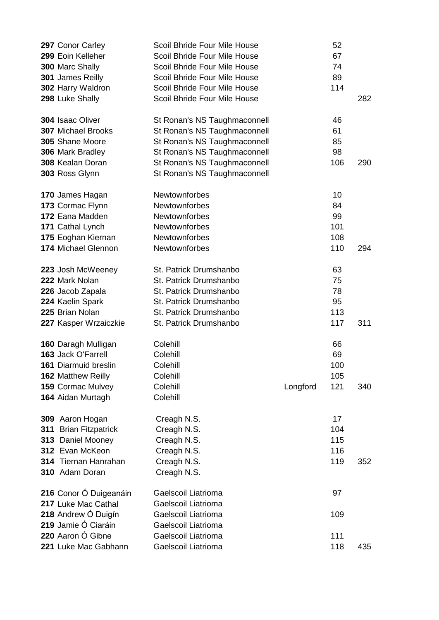|                  | 297 Conor Carley          | Scoil Bhride Four Mile House |          | 52  |     |
|------------------|---------------------------|------------------------------|----------|-----|-----|
|                  | 299 Eoin Kelleher         | Scoil Bhride Four Mile House |          | 67  |     |
| 300 Marc Shally  |                           | Scoil Bhride Four Mile House |          | 74  |     |
|                  | 301 James Reilly          | Scoil Bhride Four Mile House |          | 89  |     |
|                  | 302 Harry Waldron         | Scoil Bhride Four Mile House |          | 114 |     |
| 298 Luke Shally  |                           | Scoil Bhride Four Mile House |          |     | 282 |
|                  |                           |                              |          |     |     |
| 304 Isaac Oliver |                           | St Ronan's NS Taughmaconnell |          | 46  |     |
|                  | <b>307 Michael Brooks</b> | St Ronan's NS Taughmaconnell |          | 61  |     |
|                  | 305 Shane Moore           | St Ronan's NS Taughmaconnell |          | 85  |     |
|                  | 306 Mark Bradley          | St Ronan's NS Taughmaconnell |          | 98  |     |
|                  | 308 Kealan Doran          | St Ronan's NS Taughmaconnell |          | 106 | 290 |
| 303 Ross Glynn   |                           | St Ronan's NS Taughmaconnell |          |     |     |
|                  |                           |                              |          |     |     |
|                  | 170 James Hagan           | Newtownforbes                |          | 10  |     |
|                  | 173 Cormac Flynn          | Newtownforbes                |          | 84  |     |
|                  | 172 Eana Madden           | Newtownforbes                |          | 99  |     |
|                  | 171 Cathal Lynch          | Newtownforbes                |          | 101 |     |
|                  | 175 Eoghan Kiernan        | Newtownforbes                |          | 108 |     |
|                  | 174 Michael Glennon       | Newtownforbes                |          | 110 | 294 |
|                  |                           |                              |          |     |     |
|                  | 223 Josh McWeeney         | St. Patrick Drumshanbo       |          | 63  |     |
| 222 Mark Nolan   |                           | St. Patrick Drumshanbo       |          | 75  |     |
|                  | 226 Jacob Zapala          | St. Patrick Drumshanbo       |          | 78  |     |
|                  | 224 Kaelin Spark          | St. Patrick Drumshanbo       |          | 95  |     |
| 225 Brian Nolan  |                           | St. Patrick Drumshanbo       |          | 113 |     |
|                  | 227 Kasper Wrzaiczkie     | St. Patrick Drumshanbo       |          | 117 | 311 |
|                  |                           |                              |          |     |     |
|                  | 160 Daragh Mulligan       | Colehill                     |          | 66  |     |
|                  | 163 Jack O'Farrell        | Colehill                     |          | 69  |     |
|                  | 161 Diarmuid breslin      | Colehill                     |          | 100 |     |
|                  | <b>162 Matthew Reilly</b> | Colehill                     |          | 105 |     |
|                  | <b>159 Cormac Mulvey</b>  | Colehill                     | Longford | 121 | 340 |
|                  | 164 Aidan Murtagh         | Colehill                     |          |     |     |
|                  |                           |                              |          |     |     |
|                  | 309 Aaron Hogan           | Creagh N.S.                  |          | 17  |     |
| 311              | <b>Brian Fitzpatrick</b>  | Creagh N.S.                  |          | 104 |     |
|                  | 313 Daniel Mooney         | Creagh N.S.                  |          | 115 |     |
|                  | 312 Evan McKeon           | Creagh N.S.                  |          | 116 |     |
|                  | 314 Tiernan Hanrahan      | Creagh N.S.                  |          | 119 | 352 |
|                  | 310 Adam Doran            | Creagh N.S.                  |          |     |     |
|                  |                           |                              |          |     |     |
|                  | 216 Conor Ó Duigeanáin    | Gaelscoil Liatrioma          |          | 97  |     |
|                  | 217 Luke Mac Cathal       | Gaelscoil Liatrioma          |          |     |     |
|                  | 218 Andrew Ó Duigín       | <b>Gaelscoil Liatrioma</b>   |          | 109 |     |
|                  | 219 Jamie Ó Ciaráin       | <b>Gaelscoil Liatrioma</b>   |          |     |     |
|                  | 220 Aaron Ó Gibne         | Gaelscoil Liatrioma          |          | 111 |     |
|                  | 221 Luke Mac Gabhann      | Gaelscoil Liatrioma          |          | 118 | 435 |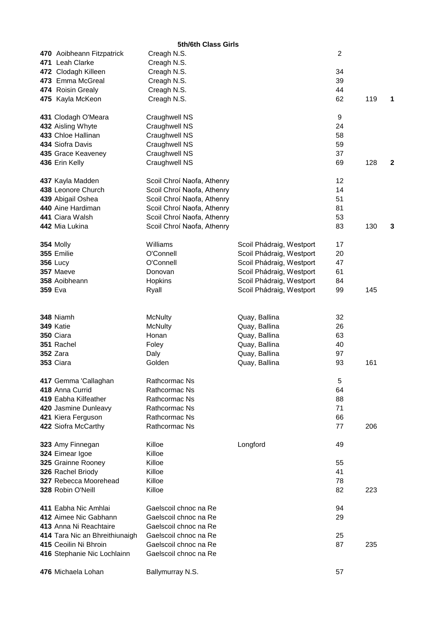| 5th/6th Class Girls            |                            |                          |    |     |   |  |
|--------------------------------|----------------------------|--------------------------|----|-----|---|--|
| 470 Aoibheann Fitzpatrick      | Creagh N.S.                |                          | 2  |     |   |  |
| 471 Leah Clarke                | Creagh N.S.                |                          |    |     |   |  |
| 472 Clodagh Killeen            | Creagh N.S.                |                          | 34 |     |   |  |
| 473 Emma McGreal               | Creagh N.S.                |                          | 39 |     |   |  |
| 474 Roisin Grealy              | Creagh N.S.                |                          | 44 |     |   |  |
| 475 Kayla McKeon               | Creagh N.S.                |                          | 62 | 119 | 1 |  |
| 431 Clodagh O'Meara            | Craughwell NS              |                          | 9  |     |   |  |
| 432 Aisling Whyte              | Craughwell NS              |                          | 24 |     |   |  |
| 433 Chloe Hallinan             | Craughwell NS              |                          | 58 |     |   |  |
| 434 Siofra Davis               | Craughwell NS              |                          | 59 |     |   |  |
| 435 Grace Keaveney             | Craughwell NS              |                          | 37 |     |   |  |
| 436 Erin Kelly                 | Craughwell NS              |                          | 69 | 128 | 2 |  |
| 437 Kayla Madden               | Scoil Chroí Naofa, Athenry |                          | 12 |     |   |  |
| 438 Leonore Church             | Scoil Chroí Naofa, Athenry |                          | 14 |     |   |  |
| 439 Abigail Oshea              | Scoil Chroí Naofa, Athenry |                          | 51 |     |   |  |
| 440 Aine Hardiman              | Scoil Chroí Naofa, Athenry |                          | 81 |     |   |  |
| 441 Ciara Walsh                | Scoil Chroí Naofa, Athenry |                          | 53 |     |   |  |
| 442 Mia Lukina                 | Scoil Chroí Naofa, Athenry |                          | 83 | 130 | 3 |  |
| 354 Molly                      | Williams                   | Scoil Phádraig, Westport | 17 |     |   |  |
| 355 Emilie                     | O'Connell                  | Scoil Phádraig, Westport | 20 |     |   |  |
| <b>356 Lucy</b>                | O'Connell                  | Scoil Phádraig, Westport | 47 |     |   |  |
| 357 Maeve                      | Donovan                    | Scoil Phádraig, Westport | 61 |     |   |  |
| 358 Aoibheann                  | Hopkins                    | Scoil Phádraig, Westport | 84 |     |   |  |
| <b>359 Eva</b>                 | Ryall                      | Scoil Phádraig, Westport | 99 | 145 |   |  |
|                                |                            |                          |    |     |   |  |
| 348 Niamh                      | <b>McNulty</b>             | Quay, Ballina            | 32 |     |   |  |
| 349 Katie                      | <b>McNulty</b>             | Quay, Ballina            | 26 |     |   |  |
| 350 Ciara                      | Honan                      | Quay, Ballina            | 63 |     |   |  |
| 351 Rachel                     | Foley                      | Quay, Ballina            | 40 |     |   |  |
| <b>352 Zara</b>                | Daly                       | Quay, Ballina            | 97 |     |   |  |
| 353 Ciara                      | Golden                     | Quay, Ballina            | 93 | 161 |   |  |
| 417 Gemma 'Callaghan           | Rathcormac Ns              |                          | 5  |     |   |  |
| 418 Anna Currid                | Rathcormac Ns              |                          | 64 |     |   |  |
| 419 Eabha Kilfeather           | Rathcormac Ns              |                          | 88 |     |   |  |
| 420 Jasmine Dunleavy           | Rathcormac Ns              |                          | 71 |     |   |  |
| 421 Kiera Ferguson             | Rathcormac Ns              |                          | 66 |     |   |  |
| 422 Siofra McCarthy            | Rathcormac Ns              |                          | 77 | 206 |   |  |
| 323 Amy Finnegan               | Killoe                     | Longford                 | 49 |     |   |  |
| 324 Eimear Igoe                | Killoe                     |                          |    |     |   |  |
| 325 Grainne Rooney             | Killoe                     |                          | 55 |     |   |  |
| 326 Rachel Briody              | Killoe                     |                          | 41 |     |   |  |
| 327 Rebecca Moorehead          | Killoe                     |                          | 78 |     |   |  |
| 328 Robin O'Neill              | Killoe                     |                          | 82 | 223 |   |  |
| 411 Eabha Nic Amhlai           | Gaelscoil chnoc na Re      |                          | 94 |     |   |  |
| 412 Aimee Nic Gabhann          | Gaelscoil chnoc na Re      |                          | 29 |     |   |  |
| 413 Anna Ni Reachtaire         | Gaelscoil chnoc na Re      |                          |    |     |   |  |
| 414 Tara Nic an Bhreithiunaigh | Gaelscoil chnoc na Re      |                          | 25 |     |   |  |
| 415 Ceoilin Ni Bhroin          | Gaelscoil chnoc na Re      |                          | 87 | 235 |   |  |
| 416 Stephanie Nic Lochlainn    | Gaelscoil chnoc na Re      |                          |    |     |   |  |
| 476 Michaela Lohan             | Ballymurray N.S.           |                          | 57 |     |   |  |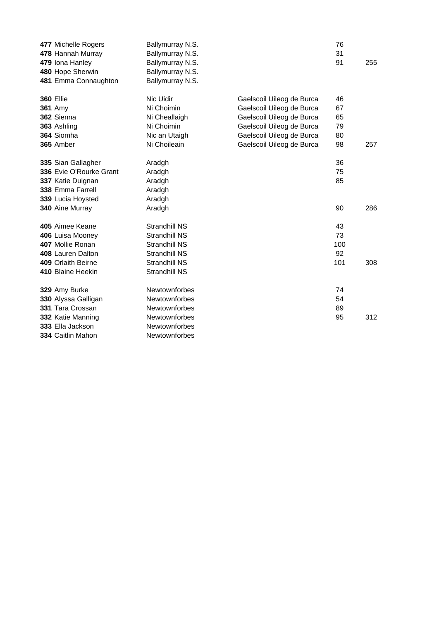| 477 Michelle Rogers     | Ballymurray N.S.     |                           | 76  |     |
|-------------------------|----------------------|---------------------------|-----|-----|
| 478 Hannah Murray       | Ballymurray N.S.     |                           | 31  |     |
| 479 Iona Hanley         | Ballymurray N.S.     |                           | 91  | 255 |
| 480 Hope Sherwin        | Ballymurray N.S.     |                           |     |     |
| 481 Emma Connaughton    | Ballymurray N.S.     |                           |     |     |
| <b>360 Ellie</b>        | Nic Uidir            | Gaelscoil Uileog de Burca | 46  |     |
| <b>361 Amy</b>          | Ni Choimin           | Gaelscoil Uileog de Burca | 67  |     |
| 362 Sienna              | Ni Cheallaigh        | Gaelscoil Uileog de Burca | 65  |     |
| 363 Ashling             | Ni Choimin           | Gaelscoil Uileog de Burca | 79  |     |
| 364 Siomha              | Nic an Utaigh        | Gaelscoil Uileog de Burca | 80  |     |
| 365 Amber               | Ni Choileain         | Gaelscoil Uileog de Burca | 98  | 257 |
|                         |                      |                           |     |     |
| 335 Sian Gallagher      | Aradgh               |                           | 36  |     |
| 336 Evie O'Rourke Grant | Aradgh               |                           | 75  |     |
| 337 Katie Duignan       | Aradgh               |                           | 85  |     |
| 338 Emma Farrell        | Aradgh               |                           |     |     |
| 339 Lucia Hoysted       | Aradgh               |                           |     |     |
| 340 Aine Murray         | Aradgh               |                           | 90  | 286 |
| 405 Aimee Keane         | <b>Strandhill NS</b> |                           | 43  |     |
| 406 Luisa Mooney        | <b>Strandhill NS</b> |                           | 73  |     |
| 407 Mollie Ronan        | <b>Strandhill NS</b> |                           | 100 |     |
| 408 Lauren Dalton       | <b>Strandhill NS</b> |                           | 92  |     |
| 409 Orlaith Beirne      | <b>Strandhill NS</b> |                           | 101 | 308 |
| 410 Blaine Heekin       | <b>Strandhill NS</b> |                           |     |     |
|                         |                      |                           |     |     |
| 329 Amy Burke           | <b>Newtownforbes</b> |                           | 74  |     |
| 330 Alyssa Galligan     | Newtownforbes        |                           | 54  |     |
| 331 Tara Crossan        | <b>Newtownforbes</b> |                           | 89  |     |
| 332 Katie Manning       | Newtownforbes        |                           | 95  | 312 |
| 333 Ella Jackson        | <b>Newtownforbes</b> |                           |     |     |
| 334 Caitlin Mahon       | <b>Newtownforbes</b> |                           |     |     |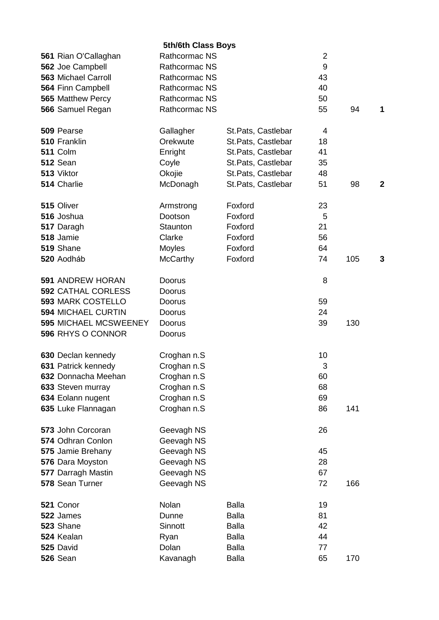| 5th/6th Class Boys           |                      |                     |                  |     |              |  |
|------------------------------|----------------------|---------------------|------------------|-----|--------------|--|
| 561 Rian O'Callaghan         | <b>Rathcormac NS</b> |                     | $\overline{2}$   |     |              |  |
| 562 Joe Campbell             | <b>Rathcormac NS</b> |                     | $\boldsymbol{9}$ |     |              |  |
| <b>563 Michael Carroll</b>   | Rathcormac NS        |                     | 43               |     |              |  |
| 564 Finn Campbell            | Rathcormac NS        |                     | 40               |     |              |  |
| 565 Matthew Percy            | <b>Rathcormac NS</b> |                     | 50               |     |              |  |
| 566 Samuel Regan             | <b>Rathcormac NS</b> |                     | 55               | 94  | 1            |  |
|                              |                      |                     |                  |     |              |  |
| 509 Pearse                   | Gallagher            | St. Pats, Castlebar | 4                |     |              |  |
| 510 Franklin                 | Orekwute             | St.Pats, Castlebar  | 18               |     |              |  |
| <b>511 Colm</b>              | Enright              | St.Pats, Castlebar  | 41               |     |              |  |
| 512 Sean                     | Coyle                | St.Pats, Castlebar  | 35               |     |              |  |
| 513 Viktor                   | Okojie               | St.Pats, Castlebar  | 48               |     |              |  |
| 514 Charlie                  | McDonagh             | St.Pats, Castlebar  | 51               | 98  | $\mathbf{2}$ |  |
|                              |                      |                     |                  |     |              |  |
| 515 Oliver                   | Armstrong            | Foxford             | 23               |     |              |  |
| 516 Joshua                   | Dootson              | Foxford             | 5                |     |              |  |
| 517 Daragh                   | Staunton             | Foxford             | 21               |     |              |  |
| 518 Jamie                    | Clarke               | Foxford             | 56               |     |              |  |
| 519 Shane                    | Moyles               | Foxford             | 64               |     |              |  |
| 520 Aodháb                   | <b>McCarthy</b>      | Foxford             | 74               | 105 | 3            |  |
|                              |                      |                     |                  |     |              |  |
| <b>591 ANDREW HORAN</b>      | Doorus               |                     | 8                |     |              |  |
| <b>592 CATHAL CORLESS</b>    | Doorus               |                     |                  |     |              |  |
| <b>593 MARK COSTELLO</b>     | Doorus               |                     | 59               |     |              |  |
| <b>594 MICHAEL CURTIN</b>    | Doorus               |                     | 24               |     |              |  |
| <b>595 MICHAEL MCSWEENEY</b> | Doorus               |                     | 39               | 130 |              |  |
| 596 RHYS O CONNOR            |                      |                     |                  |     |              |  |
|                              | Doorus               |                     |                  |     |              |  |
| 630 Declan kennedy           | Croghan n.S          |                     | 10               |     |              |  |
| 631 Patrick kennedy          | Croghan n.S          |                     | 3                |     |              |  |
| 632 Donnacha Meehan          | Croghan n.S          |                     | 60               |     |              |  |
| 633 Steven murray            | Croghan n.S          |                     | 68               |     |              |  |
| 634 Eolann nugent            | Croghan n.S          |                     | 69               |     |              |  |
|                              |                      |                     |                  |     |              |  |
| 635 Luke Flannagan           | Croghan n.S          |                     | 86               | 141 |              |  |
| 573 John Corcoran            | Geevagh NS           |                     | 26               |     |              |  |
| 574 Odhran Conlon            | Geevagh NS           |                     |                  |     |              |  |
|                              |                      |                     | 45               |     |              |  |
| 575 Jamie Brehany            | Geevagh NS           |                     | 28               |     |              |  |
| 576 Dara Moyston             | Geevagh NS           |                     |                  |     |              |  |
| 577 Darragh Mastin           | Geevagh NS           |                     | 67               |     |              |  |
| 578 Sean Turner              | Geevagh NS           |                     | 72               | 166 |              |  |
| 521 Conor                    | Nolan                | <b>Balla</b>        | 19               |     |              |  |
| 522 James                    | Dunne                | <b>Balla</b>        | 81               |     |              |  |
| 523 Shane                    | Sinnott              | <b>Balla</b>        | 42               |     |              |  |
|                              |                      |                     |                  |     |              |  |
| 524 Kealan                   | Ryan                 | <b>Balla</b>        | 44               |     |              |  |
| 525 David                    | Dolan                | <b>Balla</b>        | 77               |     |              |  |
| <b>526 Sean</b>              | Kavanagh             | <b>Balla</b>        | 65               | 170 |              |  |